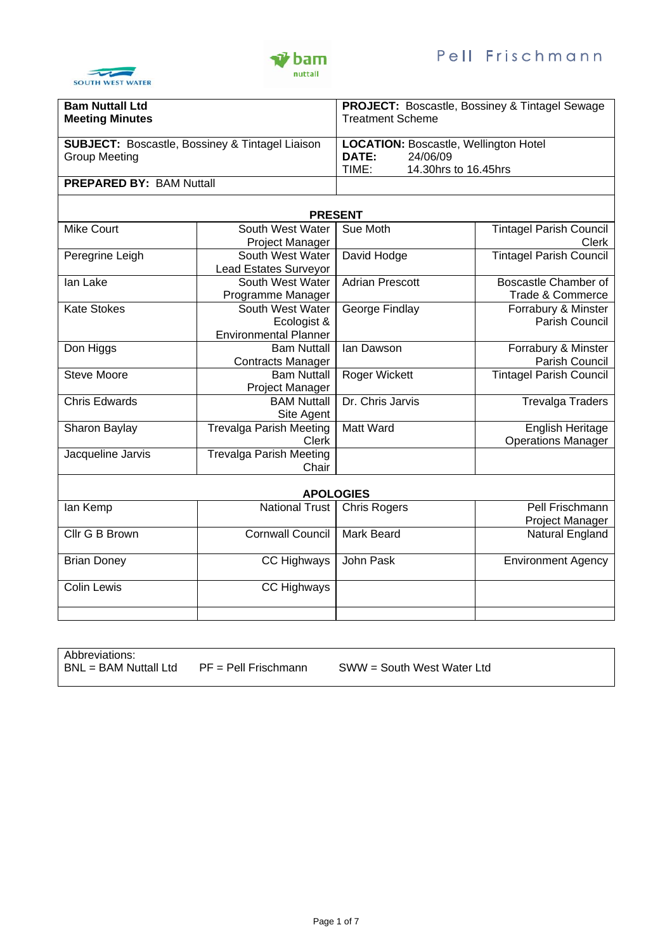



| <b>Bam Nuttall Ltd</b>                                     |                              | <b>PROJECT:</b> Boscastle, Bossiney & Tintagel Sewage |                                |
|------------------------------------------------------------|------------------------------|-------------------------------------------------------|--------------------------------|
| <b>Meeting Minutes</b>                                     |                              | <b>Treatment Scheme</b>                               |                                |
|                                                            |                              |                                                       |                                |
|                                                            |                              |                                                       |                                |
| <b>SUBJECT: Boscastle, Bossiney &amp; Tintagel Liaison</b> |                              | <b>LOCATION: Boscastle, Wellington Hotel</b>          |                                |
| <b>Group Meeting</b>                                       |                              | <b>DATE:</b>                                          | 24/06/09                       |
|                                                            |                              | TIME:                                                 | 14.30hrs to 16.45hrs           |
| <b>PREPARED BY: BAM Nuttall</b>                            |                              |                                                       |                                |
|                                                            |                              |                                                       |                                |
| <b>PRESENT</b>                                             |                              |                                                       |                                |
|                                                            |                              |                                                       |                                |
| Mike Court                                                 | South West Water             | Sue Moth                                              | <b>Tintagel Parish Council</b> |
|                                                            | Project Manager              |                                                       | Clerk                          |
| Dorogripo Loigh                                            | Couth Woot Water Douid Hedge |                                                       | Tintonal Dariah Council        |

| Peregrine Leigh      | South West Water               | David Hodge            | <b>Tintagel Parish Council</b> |
|----------------------|--------------------------------|------------------------|--------------------------------|
|                      | <b>Lead Estates Surveyor</b>   |                        |                                |
| lan Lake             | South West Water               | <b>Adrian Prescott</b> | Boscastle Chamber of           |
|                      | Programme Manager              |                        | Trade & Commerce               |
| <b>Kate Stokes</b>   | South West Water               | George Findlay         | Forrabury & Minster            |
|                      | Ecologist &                    |                        | Parish Council                 |
|                      | <b>Environmental Planner</b>   |                        |                                |
| Don Higgs            | <b>Bam Nuttall</b>             | lan Dawson             | Forrabury & Minster            |
|                      | <b>Contracts Manager</b>       |                        | Parish Council                 |
| <b>Steve Moore</b>   | <b>Bam Nuttall</b>             | Roger Wickett          | <b>Tintagel Parish Council</b> |
|                      | Project Manager                |                        |                                |
| <b>Chris Edwards</b> | <b>BAM Nuttall</b>             | Dr. Chris Jarvis       | <b>Trevalga Traders</b>        |
|                      | Site Agent                     |                        |                                |
| Sharon Baylay        | <b>Trevalga Parish Meeting</b> | Matt Ward              | English Heritage               |
|                      | <b>Clerk</b>                   |                        | <b>Operations Manager</b>      |
| Jacqueline Jarvis    | <b>Trevalga Parish Meeting</b> |                        |                                |
|                      | Chair                          |                        |                                |
|                      |                                |                        |                                |
|                      |                                | <b>APOLOGIES</b>       |                                |
| lan Kemp             | <b>National Trust</b>          | <b>Chris Rogers</b>    | Pell Frischmann                |
|                      |                                |                        | Project Manager                |
| Cllr G B Brown       | <b>Cornwall Council</b>        | Mark Beard             | Natural England                |
|                      |                                |                        |                                |
| <b>Brian Doney</b>   | CC Highways                    | John Pask              | <b>Environment Agency</b>      |
| <b>Colin Lewis</b>   | CC Highways                    |                        |                                |
|                      |                                |                        |                                |
|                      |                                |                        |                                |

Abbreviations:<br>BNL = BAM Nuttall Ltd PF = Pell Frischmann SWW = South West Water Ltd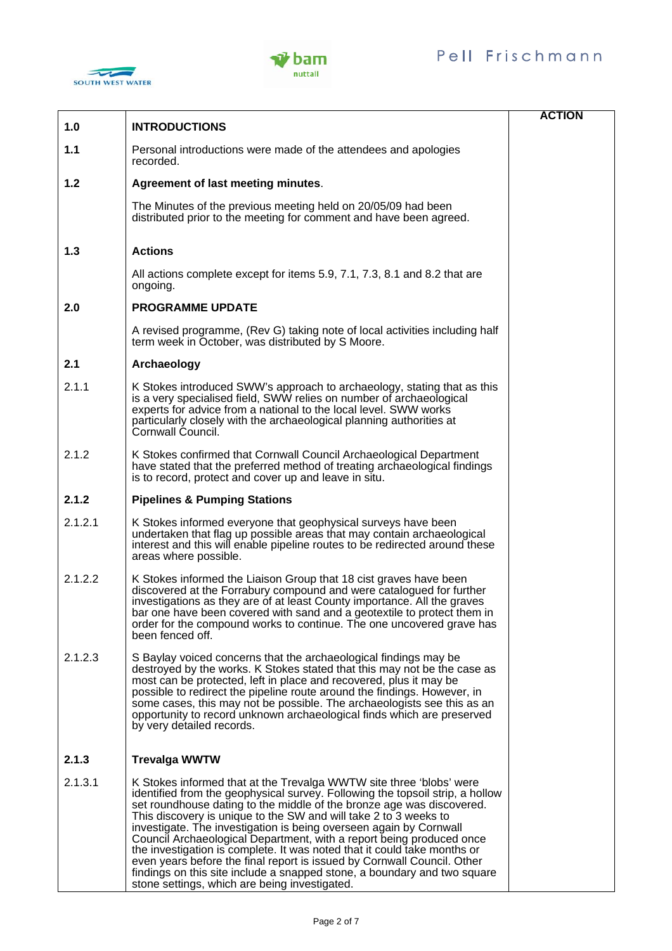



|         |                                                                                                                                                                                                                                                                                                                                                                                                                                                                                                                                                                                                                                                                                                                                     | <b>ACTION</b> |
|---------|-------------------------------------------------------------------------------------------------------------------------------------------------------------------------------------------------------------------------------------------------------------------------------------------------------------------------------------------------------------------------------------------------------------------------------------------------------------------------------------------------------------------------------------------------------------------------------------------------------------------------------------------------------------------------------------------------------------------------------------|---------------|
| 1.0     | <b>INTRODUCTIONS</b>                                                                                                                                                                                                                                                                                                                                                                                                                                                                                                                                                                                                                                                                                                                |               |
| 1.1     | Personal introductions were made of the attendees and apologies<br>recorded.                                                                                                                                                                                                                                                                                                                                                                                                                                                                                                                                                                                                                                                        |               |
| 1.2     | Agreement of last meeting minutes.                                                                                                                                                                                                                                                                                                                                                                                                                                                                                                                                                                                                                                                                                                  |               |
|         | The Minutes of the previous meeting held on 20/05/09 had been<br>distributed prior to the meeting for comment and have been agreed.                                                                                                                                                                                                                                                                                                                                                                                                                                                                                                                                                                                                 |               |
| 1.3     | <b>Actions</b>                                                                                                                                                                                                                                                                                                                                                                                                                                                                                                                                                                                                                                                                                                                      |               |
|         | All actions complete except for items 5.9, 7.1, 7.3, 8.1 and 8.2 that are<br>ongoing.                                                                                                                                                                                                                                                                                                                                                                                                                                                                                                                                                                                                                                               |               |
| 2.0     | <b>PROGRAMME UPDATE</b>                                                                                                                                                                                                                                                                                                                                                                                                                                                                                                                                                                                                                                                                                                             |               |
|         | A revised programme, (Rev G) taking note of local activities including half<br>term week in October, was distributed by S Moore.                                                                                                                                                                                                                                                                                                                                                                                                                                                                                                                                                                                                    |               |
| 2.1     | Archaeology                                                                                                                                                                                                                                                                                                                                                                                                                                                                                                                                                                                                                                                                                                                         |               |
| 2.1.1   | K Stokes introduced SWW's approach to archaeology, stating that as this<br>is a very specialised field, SWW relies on number of archaeological<br>experts for advice from a national to the local level. SWW works<br>particularly closely with the archaeological planning authorities at<br>Cornwall Council.                                                                                                                                                                                                                                                                                                                                                                                                                     |               |
| 2.1.2   | K Stokes confirmed that Cornwall Council Archaeological Department<br>have stated that the preferred method of treating archaeological findings<br>is to record, protect and cover up and leave in situ.                                                                                                                                                                                                                                                                                                                                                                                                                                                                                                                            |               |
| 2.1.2   | <b>Pipelines &amp; Pumping Stations</b>                                                                                                                                                                                                                                                                                                                                                                                                                                                                                                                                                                                                                                                                                             |               |
| 2.1.2.1 | K Stokes informed everyone that geophysical surveys have been<br>undertaken that flag up possible areas that may contain archaeological<br>interest and this will enable pipeline routes to be redirected around these<br>areas where possible.                                                                                                                                                                                                                                                                                                                                                                                                                                                                                     |               |
| 2.1.2.2 | K Stokes informed the Liaison Group that 18 cist graves have been<br>discovered at the Forrabury compound and were catalogued for further<br>investigations as they are of at least County importance. All the graves<br>bar one have been covered with sand and a geotextile to protect them in<br>order for the compound works to continue. The one uncovered grave has<br>been fenced off.                                                                                                                                                                                                                                                                                                                                       |               |
| 2.1.2.3 | S Baylay voiced concerns that the archaeological findings may be<br>destroyed by the works. K Stokes stated that this may not be the case as<br>most can be protected, left in place and recovered, plus it may be<br>possible to redirect the pipeline route around the findings. However, in<br>some cases, this may not be possible. The archaeologists see this as an<br>opportunity to record unknown archaeological finds which are preserved<br>by very detailed records.                                                                                                                                                                                                                                                    |               |
| 2.1.3   | <b>Trevalga WWTW</b>                                                                                                                                                                                                                                                                                                                                                                                                                                                                                                                                                                                                                                                                                                                |               |
| 2.1.3.1 | K Stokes informed that at the Trevalga WWTW site three 'blobs' were<br>identified from the geophysical survey. Following the topsoil strip, a hollow<br>set roundhouse dating to the middle of the bronze age was discovered.<br>This discovery is unique to the SW and will take 2 to 3 weeks to<br>investigate. The investigation is being overseen again by Cornwall<br>Council Archaeological Department, with a report being produced once<br>the investigation is complete. It was noted that it could take months or<br>even years before the final report is issued by Cornwall Council. Other<br>findings on this site include a snapped stone, a boundary and two square<br>stone settings, which are being investigated. |               |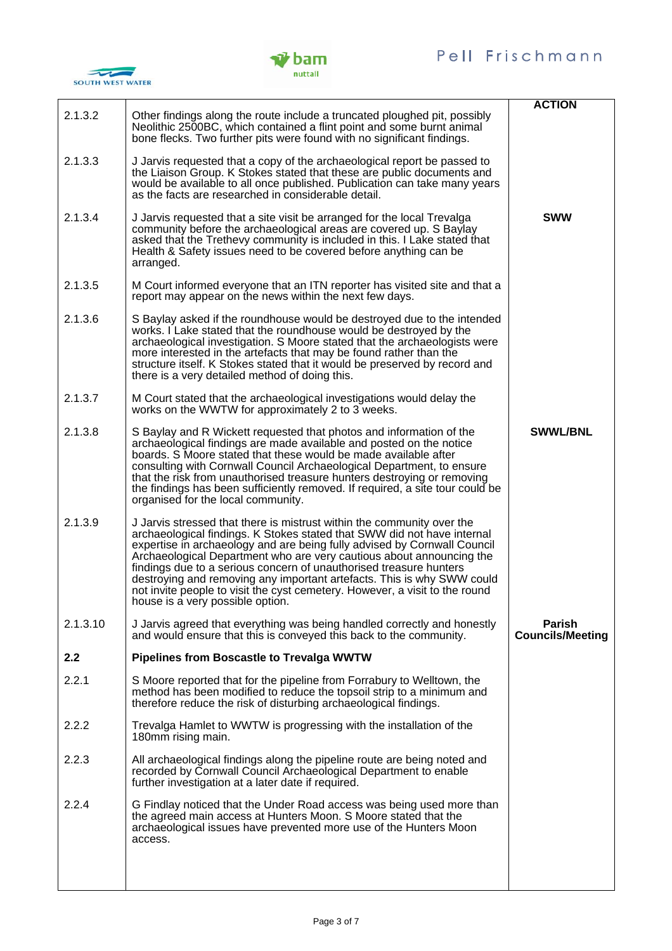



| 2.1.3.2  | Other findings along the route include a truncated ploughed pit, possibly<br>Neolithic 2500BC, which contained a flint point and some burnt animal<br>bone flecks. Two further pits were found with no significant findings.                                                                                                                                                                                                                                                                                                                                             | <b>ACTION</b>                            |
|----------|--------------------------------------------------------------------------------------------------------------------------------------------------------------------------------------------------------------------------------------------------------------------------------------------------------------------------------------------------------------------------------------------------------------------------------------------------------------------------------------------------------------------------------------------------------------------------|------------------------------------------|
| 2.1.3.3  | J Jarvis requested that a copy of the archaeological report be passed to<br>the Liaison Group. K Stokes stated that these are public documents and<br>would be available to all once published. Publication can take many years<br>as the facts are researched in considerable detail.                                                                                                                                                                                                                                                                                   |                                          |
| 2.1.3.4  | J Jarvis requested that a site visit be arranged for the local Trevalga<br>community before the archaeological areas are covered up. S Baylay<br>asked that the Trethevy community is included in this. I Lake stated that<br>Health & Safety issues need to be covered before anything can be<br>arranged.                                                                                                                                                                                                                                                              | <b>SWW</b>                               |
| 2.1.3.5  | M Court informed everyone that an ITN reporter has visited site and that a<br>report may appear on the news within the next few days.                                                                                                                                                                                                                                                                                                                                                                                                                                    |                                          |
| 2.1.3.6  | S Baylay asked if the roundhouse would be destroyed due to the intended<br>works. I Lake stated that the roundhouse would be destroyed by the<br>archaeological investigation. S Moore stated that the archaeologists were<br>more interested in the artefacts that may be found rather than the<br>structure itself. K Stokes stated that it would be preserved by record and<br>there is a very detailed method of doing this.                                                                                                                                         |                                          |
| 2.1.3.7  | M Court stated that the archaeological investigations would delay the<br>works on the WWTW for approximately 2 to 3 weeks.                                                                                                                                                                                                                                                                                                                                                                                                                                               |                                          |
| 2.1.3.8  | S Baylay and R Wickett requested that photos and information of the<br>archaeological findings are made available and posted on the notice<br>boards. S Moore stated that these would be made available after<br>consulting with Cornwall Council Archaeological Department, to ensure<br>that the risk from unauthorised treasure hunters destroying or removing<br>the findings has been sufficiently removed. If required, a site tour could be<br>organised for the local community.                                                                                 | <b>SWWL/BNL</b>                          |
| 2.1.3.9  | J Jarvis stressed that there is mistrust within the community over the<br>archaeological findings. K Stokes stated that SWW did not have internal<br>expertise in archaeology and are being fully advised by Cornwall Council<br>Archaeological Department who are very cautious about announcing the<br>findings due to a serious concern of unauthorised treasure hunters<br>destroying and removing any important artefacts. This is why SWW could<br>not invite people to visit the cyst cemetery. However, a visit to the round<br>house is a very possible option. |                                          |
| 2.1.3.10 | J Jarvis agreed that everything was being handled correctly and honestly<br>and would ensure that this is conveyed this back to the community.                                                                                                                                                                                                                                                                                                                                                                                                                           | <b>Parish</b><br><b>Councils/Meeting</b> |
| 2.2      | <b>Pipelines from Boscastle to Trevalga WWTW</b>                                                                                                                                                                                                                                                                                                                                                                                                                                                                                                                         |                                          |
| 2.2.1    | S Moore reported that for the pipeline from Forrabury to Welltown, the<br>method has been modified to reduce the topsoil strip to a minimum and<br>therefore reduce the risk of disturbing archaeological findings.                                                                                                                                                                                                                                                                                                                                                      |                                          |
| 2.2.2    | Trevalga Hamlet to WWTW is progressing with the installation of the<br>180mm rising main.                                                                                                                                                                                                                                                                                                                                                                                                                                                                                |                                          |
| 2.2.3    | All archaeological findings along the pipeline route are being noted and<br>recorded by Cornwall Council Archaeological Department to enable<br>further investigation at a later date if required.                                                                                                                                                                                                                                                                                                                                                                       |                                          |
| 2.2.4    | G Findlay noticed that the Under Road access was being used more than<br>the agreed main access at Hunters Moon. S Moore stated that the<br>archaeological issues have prevented more use of the Hunters Moon<br>access.                                                                                                                                                                                                                                                                                                                                                 |                                          |
|          |                                                                                                                                                                                                                                                                                                                                                                                                                                                                                                                                                                          |                                          |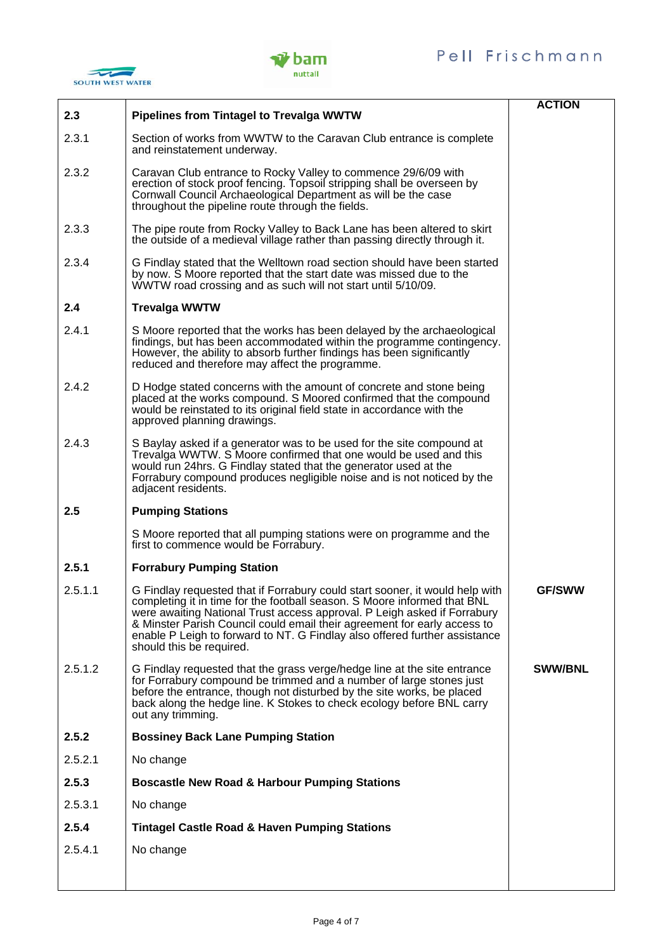





|         |                                                                                                                                                                                                                                                                                                                                                                                                                            | <b>ACTION</b>  |
|---------|----------------------------------------------------------------------------------------------------------------------------------------------------------------------------------------------------------------------------------------------------------------------------------------------------------------------------------------------------------------------------------------------------------------------------|----------------|
| 2.3     | <b>Pipelines from Tintagel to Trevalga WWTW</b>                                                                                                                                                                                                                                                                                                                                                                            |                |
| 2.3.1   | Section of works from WWTW to the Caravan Club entrance is complete<br>and reinstatement underway.                                                                                                                                                                                                                                                                                                                         |                |
| 2.3.2   | Caravan Club entrance to Rocky Valley to commence 29/6/09 with<br>erection of stock proof fencing. Topsoil stripping shall be overseen by<br>Cornwall Council Archaeological Department as will be the case<br>throughout the pipeline route through the fields.                                                                                                                                                           |                |
| 2.3.3   | The pipe route from Rocky Valley to Back Lane has been altered to skirt<br>the outside of a medieval village rather than passing directly through it.                                                                                                                                                                                                                                                                      |                |
| 2.3.4   | G Findlay stated that the Welltown road section should have been started<br>by now. S Moore reported that the start date was missed due to the<br>WWTW road crossing and as such will not start until 5/10/09.                                                                                                                                                                                                             |                |
| 2.4     | <b>Trevalga WWTW</b>                                                                                                                                                                                                                                                                                                                                                                                                       |                |
| 2.4.1   | S Moore reported that the works has been delayed by the archaeological<br>findings, but has been accommodated within the programme contingency.<br>However, the ability to absorb further findings has been significantly<br>reduced and therefore may affect the programme.                                                                                                                                               |                |
| 2.4.2   | D Hodge stated concerns with the amount of concrete and stone being<br>placed at the works compound. S Moored confirmed that the compound<br>would be reinstated to its original field state in accordance with the<br>approved planning drawings.                                                                                                                                                                         |                |
| 2.4.3   | S Baylay asked if a generator was to be used for the site compound at<br>Trevalga WWTW. S Moore confirmed that one would be used and this<br>would run 24hrs. G Findlay stated that the generator used at the<br>Forrabury compound produces negligible noise and is not noticed by the<br>adjacent residents.                                                                                                             |                |
| 2.5     | <b>Pumping Stations</b>                                                                                                                                                                                                                                                                                                                                                                                                    |                |
|         | S Moore reported that all pumping stations were on programme and the<br>first to commence would be Forrabury.                                                                                                                                                                                                                                                                                                              |                |
| 2.5.1   | <b>Forrabury Pumping Station</b>                                                                                                                                                                                                                                                                                                                                                                                           |                |
| 2.5.1.1 | G Findlay requested that if Forrabury could start sooner, it would help with<br>completing it in time for the football season. S Moore informed that BNL<br>were awaiting National Trust access approval. P Leigh asked if Forrabury<br>& Minster Parish Council could email their agreement for early access to<br>enable P Leigh to forward to NT. G Findlay also offered further assistance<br>should this be required. | <b>GF/SWW</b>  |
| 2.5.1.2 | G Findlay requested that the grass verge/hedge line at the site entrance<br>for Forrabury compound be trimmed and a number of large stones just<br>before the entrance, though not disturbed by the site works, be placed<br>back along the hedge line. K Stokes to check ecology before BNL carry<br>out any trimming.                                                                                                    | <b>SWW/BNL</b> |
| 2.5.2   | <b>Bossiney Back Lane Pumping Station</b>                                                                                                                                                                                                                                                                                                                                                                                  |                |
| 2.5.2.1 | No change                                                                                                                                                                                                                                                                                                                                                                                                                  |                |
| 2.5.3   | <b>Boscastle New Road &amp; Harbour Pumping Stations</b>                                                                                                                                                                                                                                                                                                                                                                   |                |
| 2.5.3.1 | No change                                                                                                                                                                                                                                                                                                                                                                                                                  |                |
| 2.5.4   | <b>Tintagel Castle Road &amp; Haven Pumping Stations</b>                                                                                                                                                                                                                                                                                                                                                                   |                |
| 2.5.4.1 | No change                                                                                                                                                                                                                                                                                                                                                                                                                  |                |
|         |                                                                                                                                                                                                                                                                                                                                                                                                                            |                |
|         |                                                                                                                                                                                                                                                                                                                                                                                                                            |                |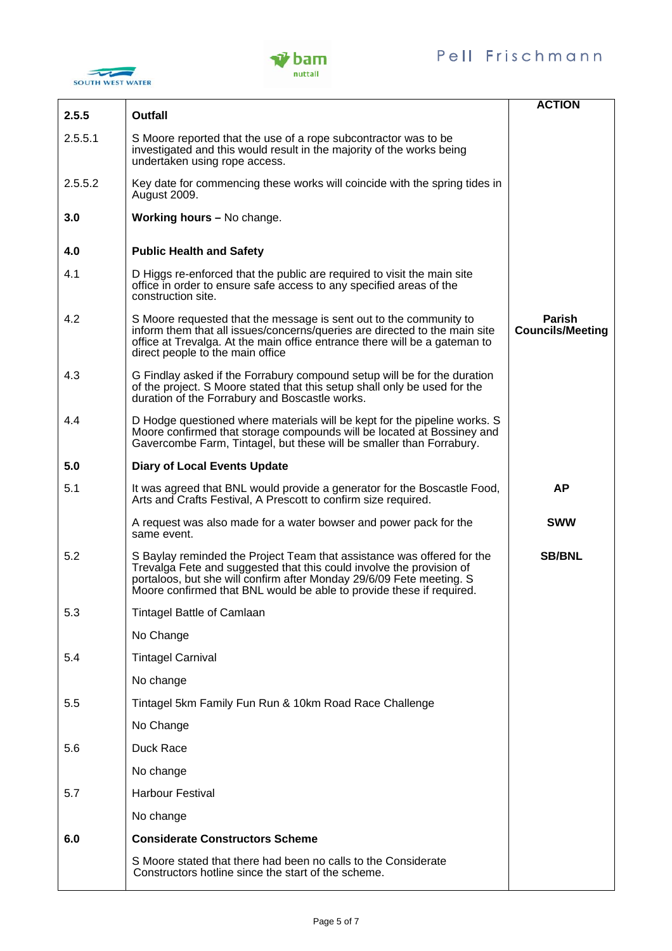



| 2.5.5   | <b>Outfall</b>                                                                                                                                                                                                                                                                                 | <b>ACTION</b>                            |
|---------|------------------------------------------------------------------------------------------------------------------------------------------------------------------------------------------------------------------------------------------------------------------------------------------------|------------------------------------------|
| 2.5.5.1 | S Moore reported that the use of a rope subcontractor was to be<br>investigated and this would result in the majority of the works being<br>undertaken using rope access.                                                                                                                      |                                          |
| 2.5.5.2 | Key date for commencing these works will coincide with the spring tides in<br>August 2009.                                                                                                                                                                                                     |                                          |
| 3.0     | Working hours - No change.                                                                                                                                                                                                                                                                     |                                          |
| 4.0     | <b>Public Health and Safety</b>                                                                                                                                                                                                                                                                |                                          |
| 4.1     | D Higgs re-enforced that the public are required to visit the main site<br>office in order to ensure safe access to any specified areas of the<br>construction site.                                                                                                                           |                                          |
| 4.2     | S Moore requested that the message is sent out to the community to<br>inform them that all issues/concerns/queries are directed to the main site<br>office at Trevalga. At the main office entrance there will be a gateman to<br>direct people to the main office                             | <b>Parish</b><br><b>Councils/Meeting</b> |
| 4.3     | G Findlay asked if the Forrabury compound setup will be for the duration<br>of the project. S Moore stated that this setup shall only be used for the<br>duration of the Forrabury and Boscastle works.                                                                                        |                                          |
| 4.4     | D Hodge questioned where materials will be kept for the pipeline works. S<br>Moore confirmed that storage compounds will be located at Bossiney and<br>Gavercombe Farm, Tintagel, but these will be smaller than Forrabury.                                                                    |                                          |
| 5.0     | <b>Diary of Local Events Update</b>                                                                                                                                                                                                                                                            |                                          |
| 5.1     | It was agreed that BNL would provide a generator for the Boscastle Food,<br>Arts and Crafts Festival, A Prescott to confirm size required.                                                                                                                                                     | <b>AP</b>                                |
|         | A request was also made for a water bowser and power pack for the<br>same event.                                                                                                                                                                                                               | <b>SWW</b>                               |
| 5.2     | S Baylay reminded the Project Team that assistance was offered for the<br>Trevalga Fete and suggested that this could involve the provision of<br>portaloos, but she will confirm after Monday 29/6/09 Fete meeting. S<br>Moore confirmed that BNL would be able to provide these if required. | <b>SB/BNL</b>                            |
| 5.3     | <b>Tintagel Battle of Camlaan</b>                                                                                                                                                                                                                                                              |                                          |
|         | No Change                                                                                                                                                                                                                                                                                      |                                          |
| 5.4     | <b>Tintagel Carnival</b>                                                                                                                                                                                                                                                                       |                                          |
|         | No change                                                                                                                                                                                                                                                                                      |                                          |
| 5.5     | Tintagel 5km Family Fun Run & 10km Road Race Challenge                                                                                                                                                                                                                                         |                                          |
|         | No Change                                                                                                                                                                                                                                                                                      |                                          |
| 5.6     | Duck Race                                                                                                                                                                                                                                                                                      |                                          |
|         | No change                                                                                                                                                                                                                                                                                      |                                          |
| 5.7     | <b>Harbour Festival</b>                                                                                                                                                                                                                                                                        |                                          |
|         | No change                                                                                                                                                                                                                                                                                      |                                          |
| 6.0     | <b>Considerate Constructors Scheme</b>                                                                                                                                                                                                                                                         |                                          |
|         | S Moore stated that there had been no calls to the Considerate<br>Constructors hotline since the start of the scheme.                                                                                                                                                                          |                                          |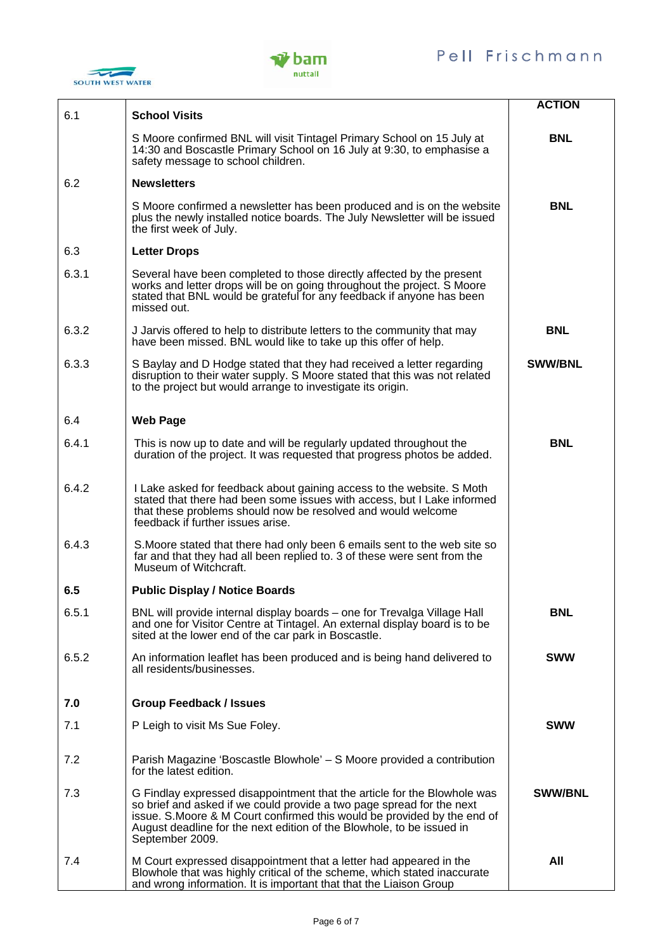



| 6.1   | <b>School Visits</b>                                                                                                                                                                                                                                                                                                      | <b>ACTION</b>  |
|-------|---------------------------------------------------------------------------------------------------------------------------------------------------------------------------------------------------------------------------------------------------------------------------------------------------------------------------|----------------|
|       | S Moore confirmed BNL will visit Tintagel Primary School on 15 July at<br>14:30 and Boscastle Primary School on 16 July at 9:30, to emphasise a<br>safety message to school children.                                                                                                                                     | <b>BNL</b>     |
| 6.2   | <b>Newsletters</b>                                                                                                                                                                                                                                                                                                        |                |
|       | S Moore confirmed a newsletter has been produced and is on the website<br>plus the newly installed notice boards. The July Newsletter will be issued<br>the first week of July.                                                                                                                                           | <b>BNL</b>     |
| 6.3   | <b>Letter Drops</b>                                                                                                                                                                                                                                                                                                       |                |
| 6.3.1 | Several have been completed to those directly affected by the present<br>works and letter drops will be on going throughout the project. S Moore<br>stated that BNL would be grateful for any feedback if anyone has been<br>missed out.                                                                                  |                |
| 6.3.2 | J Jarvis offered to help to distribute letters to the community that may<br>have been missed. BNL would like to take up this offer of help.                                                                                                                                                                               | <b>BNL</b>     |
| 6.3.3 | S Baylay and D Hodge stated that they had received a letter regarding<br>disruption to their water supply. S Moore stated that this was not related<br>to the project but would arrange to investigate its origin.                                                                                                        | <b>SWW/BNL</b> |
| 6.4   | <b>Web Page</b>                                                                                                                                                                                                                                                                                                           |                |
| 6.4.1 | This is now up to date and will be regularly updated throughout the<br>duration of the project. It was requested that progress photos be added.                                                                                                                                                                           | <b>BNL</b>     |
| 6.4.2 | I Lake asked for feedback about gaining access to the website. S Moth<br>stated that there had been some issues with access, but I Lake informed<br>that these problems should now be resolved and would welcome<br>feedback if further issues arise.                                                                     |                |
| 6.4.3 | S. Moore stated that there had only been 6 emails sent to the web site so<br>far and that they had all been replied to. 3 of these were sent from the<br>Museum of Witchcraft.                                                                                                                                            |                |
| 6.5   | <b>Public Display / Notice Boards</b>                                                                                                                                                                                                                                                                                     |                |
| 6.5.1 | BNL will provide internal display boards – one for Trevalga Village Hall<br>and one for Visitor Centre at Tintagel. An external display board is to be<br>sited at the lower end of the car park in Boscastle.                                                                                                            | <b>BNL</b>     |
| 6.5.2 | An information leaflet has been produced and is being hand delivered to<br>all residents/businesses.                                                                                                                                                                                                                      | <b>SWW</b>     |
| 7.0   | <b>Group Feedback / Issues</b>                                                                                                                                                                                                                                                                                            |                |
| 7.1   | P Leigh to visit Ms Sue Foley.                                                                                                                                                                                                                                                                                            | <b>SWW</b>     |
| 7.2   | Parish Magazine 'Boscastle Blowhole' - S Moore provided a contribution<br>for the latest edition.                                                                                                                                                                                                                         |                |
| 7.3   | G Findlay expressed disappointment that the article for the Blowhole was<br>so brief and asked if we could provide a two page spread for the next<br>issue. S. Moore & M Court confirmed this would be provided by the end of<br>August deadline for the next edition of the Blowhole, to be issued in<br>September 2009. | <b>SWW/BNL</b> |
| 7.4   | M Court expressed disappointment that a letter had appeared in the<br>Blowhole that was highly critical of the scheme, which stated inaccurate<br>and wrong information. It is important that that the Liaison Group                                                                                                      | All            |